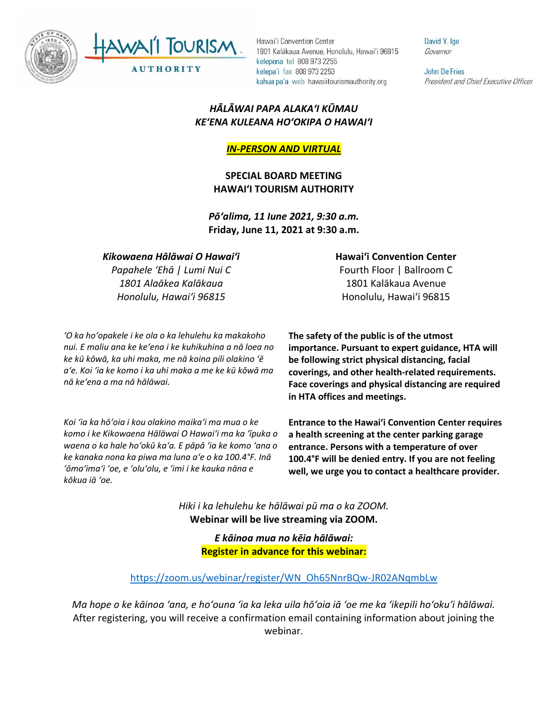



Hawai'i Convention Center 1801 Kalākaua Avenue, Honolulu, Hawai'i 96815 kelepona tel 808 973 2255 kelepa'i fax 808 973 2253 kahua pa'a web hawaiitourismauthority.org

## *HĀLĀWAI PAPA ALAKAʻI KŪMAU KEʻENA KULEANA HOʻOKIPA O HAWAIʻI*

*IN-PERSON AND VIRTUAL*

**SPECIAL BOARD MEETING HAWAI'I TOURISM AUTHORITY**

*Pōʻalima, 11 Iune 2021, 9:30 a.m.* **Friday, June 11, 2021 at 9:30 a.m.**

## *Kikowaena Hālāwai O Hawaiʻi*

*Papahele ʻEhā | Lumi Nui C 1801 Alaākea Kalākaua Honolulu, Hawaiʻi 96815*

*ʻO ka hoʻopakele i ke ola o ka lehulehu ka makakoho nui. E maliu ana ke keʻena i ke kuhikuhina a nā loea no ke kū kōwā, ka uhi maka, me nā koina pili olakino ʻē aʻe. Koi ʻia ke komo i ka uhi maka a me ke kū kōwā ma nā keʻena a ma nā hālāwai.*

*Koi ʻia ka hōʻoia i kou olakino maikaʻi ma mua o ke komo i ke Kikowaena Hālāwai O Hawaiʻi ma ka ʻīpuka o waena o ka hale hoʻokū kaʻa. E pāpā ʻia ke komo ʻana o ke kanaka nona ka piwa ma luna aʻe o ka 100.4°F. Inā ʻōmaʻimaʻi ʻoe, e ʻoluʻolu, e ʻimi i ke kauka nāna e kōkua iā ʻoe.* 

**Hawaiʻi Convention Center** Fourth Floor | Ballroom C 1801 Kalākaua Avenue

Honolulu, Hawaiʻi 96815

**The safety of the public is of the utmost importance. Pursuant to expert guidance, HTA will be following strict physical distancing, facial coverings, and other health-related requirements. Face coverings and physical distancing are required in HTA offices and meetings.** 

**Entrance to the Hawaiʻi Convention Center requires a health screening at the center parking garage entrance. Persons with a temperature of over 100.4°F will be denied entry. If you are not feeling well, we urge you to contact a healthcare provider.**

*Hiki i ka lehulehu ke hālāwai pū ma o ka ZOOM.* **Webinar will be live streaming via ZOOM.**

> *E kāinoa mua no kēia hālāwai:* **Register in advance for this webinar:**

[https://zoom.us/webinar/register/WN\\_Oh65NnrBQw-JR02ANqmbLw](https://zoom.us/webinar/register/WN_Oh65NnrBQw-JR02ANqmbLw)

*Ma hope o ke kāinoa ʻana, e hoʻouna ʻia ka leka uila hōʻoia iā ʻoe me ka ʻikepili hoʻokuʻi hālāwai.* After registering, you will receive a confirmation email containing information about joining the webinar.

David Y. Ige Governor

**John De Fries** President and Chief Executive Officer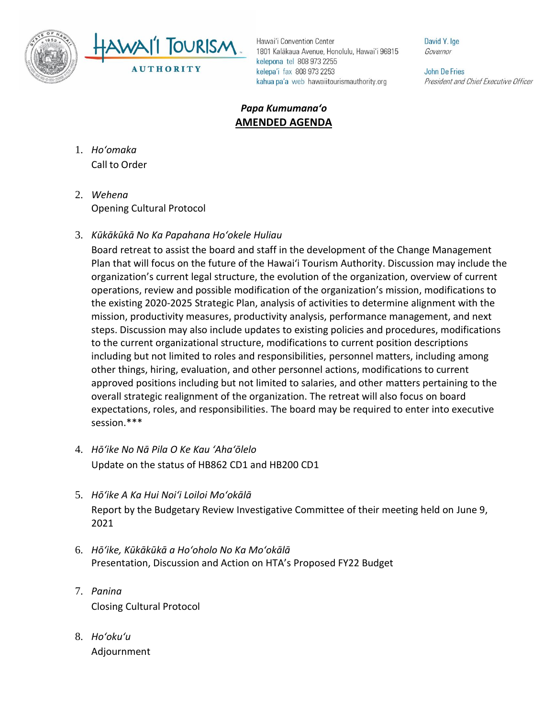



Hawai'i Convention Center 1801 Kalākaua Avenue, Honolulu, Hawai'i 96815 kelepona tel 808 973 2255 kelepa'i fax 808 973 2253 kahua pa'a web hawaiitourismauthority.org

David Y. Ige Governor

**John De Fries** President and Chief Executive Officer

## *Papa Kumumanaʻo* **AMENDED AGENDA**

- 1. *Ho'omaka* Call to Order
- 2. *Wehena* Opening Cultural Protocol
- 3. *Kūkākūkā No Ka Papahana Hoʻokele Huliau*

Board retreat to assist the board and staff in the development of the Change Management Plan that will focus on the future of the Hawai'i Tourism Authority. Discussion may include the organization's current legal structure, the evolution of the organization, overview of current operations, review and possible modification of the organization's mission, modifications to the existing 2020-2025 Strategic Plan, analysis of activities to determine alignment with the mission, productivity measures, productivity analysis, performance management, and next steps. Discussion may also include updates to existing policies and procedures, modifications to the current organizational structure, modifications to current position descriptions including but not limited to roles and responsibilities, personnel matters, including among other things, hiring, evaluation, and other personnel actions, modifications to current approved positions including but not limited to salaries, and other matters pertaining to the overall strategic realignment of the organization. The retreat will also focus on board expectations, roles, and responsibilities. The board may be required to enter into executive session.\*\*\*

- 4. *Hōʻike No Nā Pila O Ke Kau ʻAhaʻōlelo* Update on the status of HB862 CD1 and HB200 CD1
- 5. *Hōʻike A Ka Hui Noiʻi Loiloi Moʻokālā* Report by the Budgetary Review Investigative Committee of their meeting held on June 9, 2021
- 6. *Hōʻike, Kūkākūkā a Hoʻoholo No Ka Moʻokālā* Presentation, Discussion and Action on HTA's Proposed FY22 Budget
- 7. *Panina* Closing Cultural Protocol
- 8. *Ho'oku'u* Adjournment